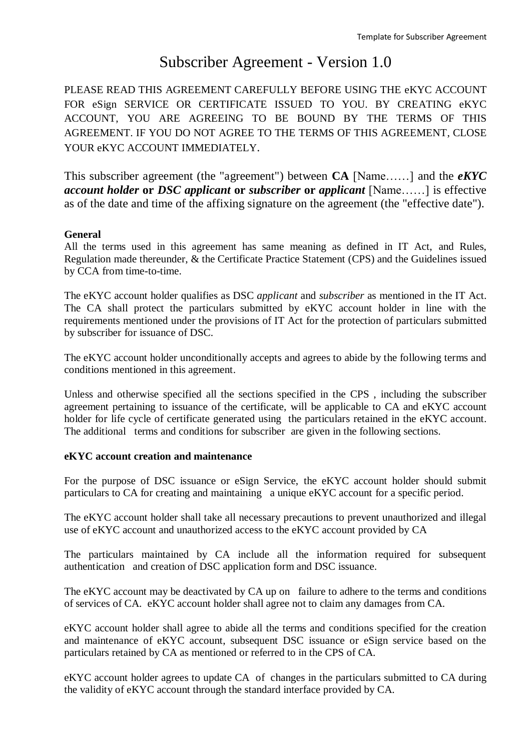# Subscriber Agreement - Version 1.0

PLEASE READ THIS AGREEMENT CAREFULLY BEFORE USING THE eKYC ACCOUNT FOR eSign SERVICE OR CERTIFICATE ISSUED TO YOU. BY CREATING eKYC ACCOUNT, YOU ARE AGREEING TO BE BOUND BY THE TERMS OF THIS AGREEMENT. IF YOU DO NOT AGREE TO THE TERMS OF THIS AGREEMENT, CLOSE YOUR eKYC ACCOUNT IMMEDIATELY.

This subscriber agreement (the "agreement") between **CA** [Name……] and the *eKYC account holder* **or** *DSC applicant* **or** *subscriber* **or** *applicant* [Name……] is effective as of the date and time of the affixing signature on the agreement (the "effective date").

# **General**

All the terms used in this agreement has same meaning as defined in IT Act, and Rules, Regulation made thereunder, & the Certificate Practice Statement (CPS) and the Guidelines issued by CCA from time-to-time.

The eKYC account holder qualifies as DSC *applicant* and *subscriber* as mentioned in the IT Act. The CA shall protect the particulars submitted by eKYC account holder in line with the requirements mentioned under the provisions of IT Act for the protection of particulars submitted by subscriber for issuance of DSC.

The eKYC account holder unconditionally accepts and agrees to abide by the following terms and conditions mentioned in this agreement.

Unless and otherwise specified all the sections specified in the CPS , including the subscriber agreement pertaining to issuance of the certificate, will be applicable to CA and eKYC account holder for life cycle of certificate generated using the particulars retained in the eKYC account. The additional terms and conditions for subscriber are given in the following sections.

# **eKYC account creation and maintenance**

For the purpose of DSC issuance or eSign Service, the eKYC account holder should submit particulars to CA for creating and maintaining a unique eKYC account for a specific period.

The eKYC account holder shall take all necessary precautions to prevent unauthorized and illegal use of eKYC account and unauthorized access to the eKYC account provided by CA

The particulars maintained by CA include all the information required for subsequent authentication and creation of DSC application form and DSC issuance.

The eKYC account may be deactivated by CA up on failure to adhere to the terms and conditions of services of CA. eKYC account holder shall agree not to claim any damages from CA.

eKYC account holder shall agree to abide all the terms and conditions specified for the creation and maintenance of eKYC account, subsequent DSC issuance or eSign service based on the particulars retained by CA as mentioned or referred to in the CPS of CA.

eKYC account holder agrees to update CA of changes in the particulars submitted to CA during the validity of eKYC account through the standard interface provided by CA.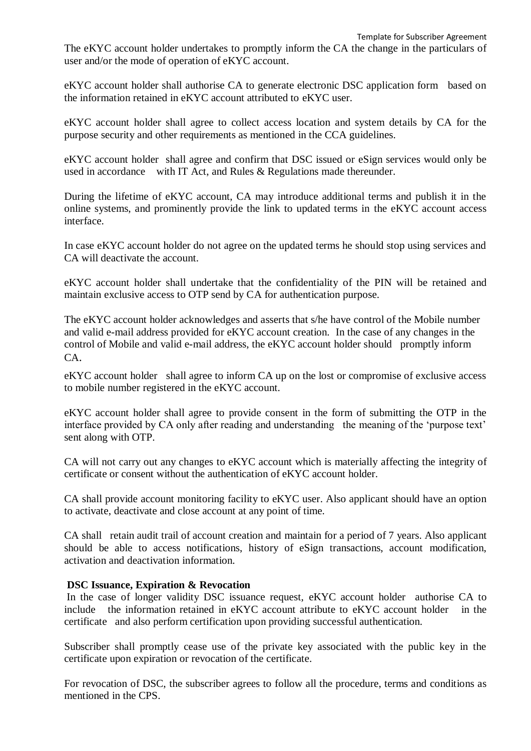The eKYC account holder undertakes to promptly inform the CA the change in the particulars of user and/or the mode of operation of eKYC account.

eKYC account holder shall authorise CA to generate electronic DSC application form based on the information retained in eKYC account attributed to eKYC user.

eKYC account holder shall agree to collect access location and system details by CA for the purpose security and other requirements as mentioned in the CCA guidelines.

eKYC account holder shall agree and confirm that DSC issued or eSign services would only be used in accordance with IT Act, and Rules & Regulations made thereunder.

During the lifetime of eKYC account, CA may introduce additional terms and publish it in the online systems, and prominently provide the link to updated terms in the eKYC account access interface.

In case eKYC account holder do not agree on the updated terms he should stop using services and CA will deactivate the account.

eKYC account holder shall undertake that the confidentiality of the PIN will be retained and maintain exclusive access to OTP send by CA for authentication purpose.

The eKYC account holder acknowledges and asserts that s/he have control of the Mobile number and valid e-mail address provided for eKYC account creation. In the case of any changes in the control of Mobile and valid e-mail address, the eKYC account holder should promptly inform  $CA$ .

eKYC account holder shall agree to inform CA up on the lost or compromise of exclusive access to mobile number registered in the eKYC account.

eKYC account holder shall agree to provide consent in the form of submitting the OTP in the interface provided by CA only after reading and understanding the meaning of the 'purpose text' sent along with OTP.

CA will not carry out any changes to eKYC account which is materially affecting the integrity of certificate or consent without the authentication of eKYC account holder.

CA shall provide account monitoring facility to eKYC user. Also applicant should have an option to activate, deactivate and close account at any point of time.

CA shall retain audit trail of account creation and maintain for a period of 7 years. Also applicant should be able to access notifications, history of eSign transactions, account modification, activation and deactivation information.

# **DSC Issuance, Expiration & Revocation**

In the case of longer validity DSC issuance request, eKYC account holder authorise CA to include the information retained in eKYC account attribute to eKYC account holder in the certificate and also perform certification upon providing successful authentication.

Subscriber shall promptly cease use of the private key associated with the public key in the certificate upon expiration or revocation of the certificate.

For revocation of DSC, the subscriber agrees to follow all the procedure, terms and conditions as mentioned in the CPS.